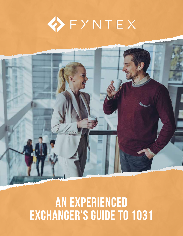



# AN EXPERIENCED EXCHANGER'S GUIDE TO 1031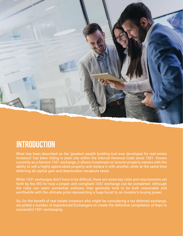

# **INTRODUCTION**

What has been described as the 'greatest wealth building tool ever developed for real estate investors' has been hiding in plain site within the Internal Revenue Code since 1921. Known currently as a Section 1031 exchange, it allows investment or income property owners with the ability to sell a highly appreciated property and replace it with another, while at the same time deferring all capital gain and depreciation recapture taxes.

While 1031 exchanges don't have to be difficult, there are some key rules and requirements set forth by the IRS for how a proper and compliant 1031 exchange can be completed. Although the rules can seem somewhat arbitrary, they generally tend to be both reasonable and worthwhile with the ultimate prize representing a huge boost to an investor's buying power.

So, for the benefit of real estate investors who might be considering a tax deferred exchange, we polled a number of experienced Exchangers to create the definitive compilation of keys to successful 1031 exchanging.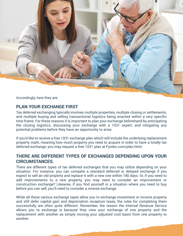

Accordingly, here they are:

#### **PLAN YOUR EXCHANGE FIRST**

Tax deferred exchanging typically involves multiple properties, multiple closing or settlements, and multiple buying and selling transactional logistics being enacted within a very specific time frame. For these reasons it is important to plan your exchange beforehand by anticipating the closing logistics, discussing your exchange with a 1031 expert, and mitigating any potential problems before they have an opportunity to arise.

If you'd like to receive a free 1031 exchange plan which will include the underlying replacement property math, meaning how much property you need to acquire in order to have a totally tax deferred exchange, you may request a free 1031 plan at Fyntex.com/plan.html.

#### **THERE ARE DIFFERENT TYPES OF EXCHANGES DEPENDING UPON YOUR CIRCUMSTANCES.**

There are different types of tax deferred exchanges that you may utilize depending on your situation. For instance, you can compete a standard deferred or delayed exchange if you expect to sell an old property and replace it with a new one within 180 days. Or, if you need to add improvements to a new property, you may need to consider an improvement or construction exchange? Likewise, if you find yourself in a situation where you need to buy before you can sell, you'll need to consider a reverse exchange.

While all these various exchange types allow you to exchange investment or income property and still defer capital gain and depreciation recapture taxes, the rules for completing them successfully are often quite different. Remember, the reason the Internal Revenue Service allows you to exchange is because they view your exchange of one property and the replacement with another as simply moving your adjusted cost basis from one property to another.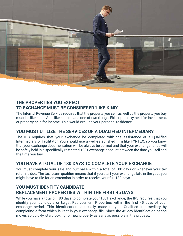

#### **THE PROPERTIES YOU EXPECT TO EXCHANGE MUST BE CONSIDERED 'LIKE KIND'**

The Internal Revenue Service requires that the property you sell, as well as the property you buy must be like-kind. And, like kind means one of two things. Either property held for investment, or property held for income. This would exclude your personal residence.

#### **YOU MUST UTILIZE THE SERVICES OF A QUALIFIED INTERMEDIARY**

The IRS requires that your exchange be completed with the assistance of a Qualified Intermediary or facilitator. You should use a well-established firm like FYNTEX, so you know that your exchange documentation will be always be correct and that your exchange funds will be safely held in a specifically restricted 1031 exchange account between the time you sell and the time you buy.

# **YOU HAVE A TOTAL OF 180 DAYS TO COMPLETE YOUR EXCHANGE**

You must complete your sale and purchase within a total of 180 days or whenever your tax return is due. The tax return qualifier means that if you start your exchange late in the year, you might have to file for an extension in order to receive your full 180 days.

## **YOU MUST IDENTIFY CANDIDATE REPLACEMENT PROPERTIES WITHIN THE FIRST 45 DAYS**

While you have a total of 180 days to complete your 1031 exchange, the IRS requires that you identify your candidate or target Replacement Properties within the first 45 days of your exchange period. This identification is usually made to your Qualified Intermediary by completing a form which is kept in your exchange file. Since the 45 day identification period moves so quickly, start looking for new property as early as possible in the process.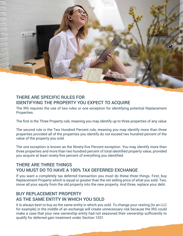

#### THERE ARE SPECIFIC RULES FOR IDENTIFYING THE PROPERTY YOU EXPECT TO ACQUIRE

The IRS requires the use of two rules or one exception for identifying potential Replacement Properties.

The first is the Three Property rule, meaning you may identify up to three properties of any value.

The second rule is the Two Hundred Percent rule, meaning you may identify more than three properties provided all of the properties you identify do not exceed two hundred percent of the value of the property you sold.

The one exception is known as the Ninety-five Percent exception. You may identify more than three properties and more than two hundred percent of total identified property value, provided you acquire at least ninety-five percent of everything you identified.

#### THERE ARE THREE THINGS YOU MUST DO TO HAVE A 100% TAX DEFERRED EXCHANGE

If you want a completely tax deferred transaction you must do these three things. First, buy Replacement Property which is equal or greater than the net selling price of what you sold. Two, move all your equity from the old property into the new property. And three, replace your debt.

## BUY REPLACEMENT PROPERTY AS THE SAME ENTITY IN WHICH YOU SOLD

It is always best to buy as the same entity in which you sold. To change your vesting (to an LLC for example) in the middle of an exchange will create unnecessary risk because the IRS could make a case that your new ownership entity had not seasoned their ownership sufficiently to qualify for deferred gain treatment under Section 1031.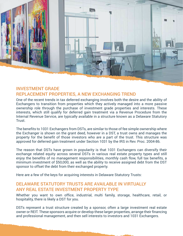

#### INVESTMENT GRADE REPLACEMENT PROPERTIES, A NEW EXCHANGING TREND

One of the recent trends in tax deferred exchanging involves both the desire and the ability of Exchangers to transition from properties which they actively managed into a more passive ownership role through the purchase of investment grade properties and interests. These interests, which still qualify for deferred gain treatment via a Revenue Procedure from the Internal Revenue Service, are typically available in a structure known as a Delaware Statutory Trust.

The benefits to 1031 Exchangers from DSTs, are similar to those of fee simple ownership where the Exchanger is shown on the grant deed, however in a DST, a trust owns and manages the property for the benefit of those investors who are a part of the trust. This structure was approved for deferred gain treatment under Section 1031 by the IRS in Rev. Proc. 2004-86.

The reason that DSTs have grown in popularity is that 1031 Exchangers can diversify their exchange related equity across several DSTs in various real estate property types and still enjoy the benefits of no management responsibilities, monthly cash flow, full tax benefits, a minimum investment of \$50,000, as well as the ability to receive assigned debt from the DST sponsor to offset the debt from their exchanged property.

Here are a few of the keys for acquiring interests in Delaware Statutory Trusts:

#### DELAWARE STATUTORY TRUSTS ARE AVAILABLE IN VIRTUALLY ANY REAL ESTATE INVESTMENT PROPERTY TYPE

Whether you want to own office, industrial, multi family, storage, healthcare, retail, or hospitality, there is likely a DST for you.

DSTs represent a trust structure created by a sponsor, often a large investment real estate owner or REIT. These sponsors acquire or develop these larger properties, arrange their financing and professional management, and then sell interests to investors and 1031 Exchangers.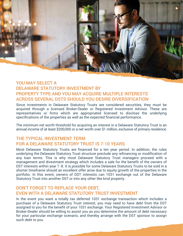

## YOU MAY SELECT A DELAWARE STATUTORY INVESTMENT BY PROPERTY TYPE AND YOU MAY ACQUIRE MULTIPLE INTERESTS ACROSS SEVERAL DSTS SHOULD YOU DESIRE DIVERSIFICATION

Since investments in Delaware Statutory Trusts are considered securities, they must be acquired through a licensed Broker-Dealer or Registered Investment Advisor. These are representatives or firms which are appropriated licensed to disclose the underlying specifications of the properties as well as the expected financial performance.

The minimum net worth threshold for acquiring an interest in a Delaware Statutory Trust is an annual income of at least \$200,000 or a net worth over \$1 million, exclusive of primary residence.

#### THE TYPICAL INVESTMENT TERM FOR A DELAWARE STATUTORY TRUST IS 7-10 YEARS

Most Delaware Statutory Trusts are financed for a ten year period. In addition, the rules underlying the Delaware Statutory Trust structure preclude any refinancing or modification of any loan terms. This is why most Delaware Statutory Trust managers proceed with a management and divestment strategy which includes a sale for the benefit of the owners of DST interests within year 7 -8. It is possible for some Delaware Statutory Trusts to be sold in a shorter timeframe should an excellent offer arise due to equity growth of the properties in the portfolio. In this event, owners of DST interests can 1031 exchange out of the Delaware Statutory Trust into another DST or into any other like kind property.

#### DON'T FORGET TO REPLACE YOUR DEBT, EVEN WITH A DELAWARE STATUTORY TRUST INVESTMENT

In the event you want a totally tax deferred 1031 exchange transaction which includes a purchase of a Delaware Statutory Trust interest, you may need to have debt from the DST assigned to you for the benefit of your 1031 exchange. Your Registered Investment Advisor or Broker-Dealer should be willing to assist you as you determine the amount of debt necessary for your particular exchange scenario, and thereby arrange with the DST sponsor to assign such debt to you.